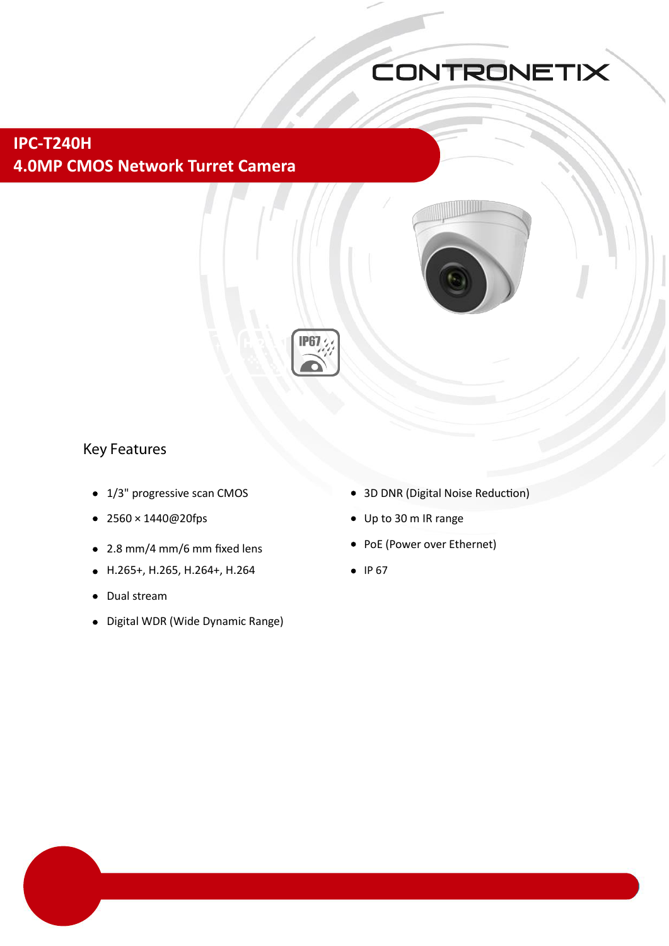# CONTRONETIX

### **IPC-T240H IPC-T240H 4.0 MP CMOS Network Turret Camera 4.0MP CMOS Network Turret Camera**





#### **Key Features**

- 
- 
- 2.8 mm/4 mm/6 mm fixed lens PoE (Power over Ethernet)
- H.265+, H.265, H.264+, H.264 IP 67
- Dual stream  $\bullet$
- Digital WDR (Wide Dynamic Range)
- 1/3" progressive scan CMOS 3D DNR (Digital Noise Reduction)
- 2560 × 1440@20fps Up to 30 m IR range
	-
	-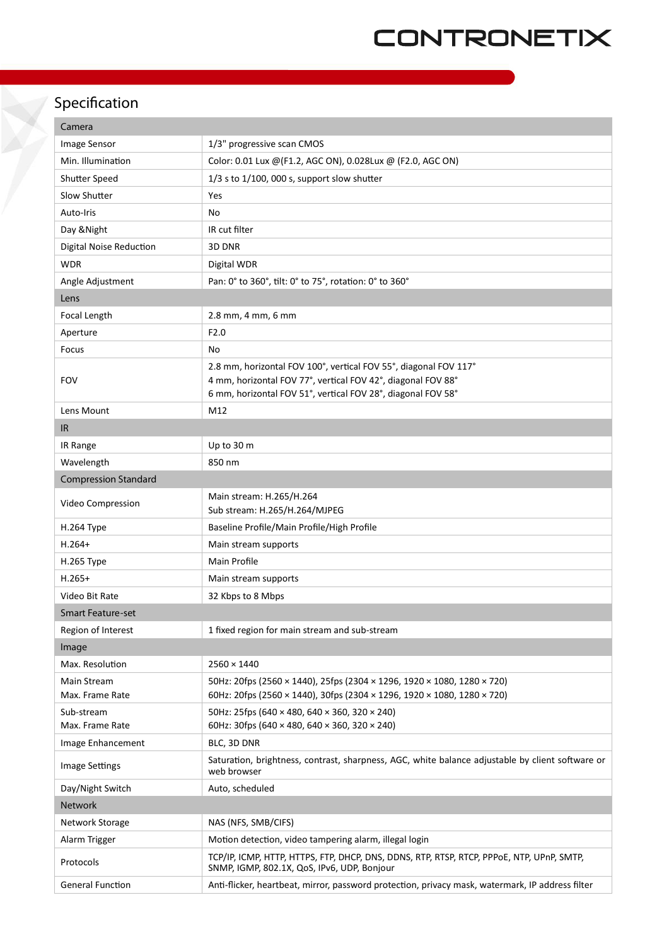### **Specification**

| Camera                         |                                                                                                                                                    |  |
|--------------------------------|----------------------------------------------------------------------------------------------------------------------------------------------------|--|
| Image Sensor                   | 1/3" progressive scan CMOS                                                                                                                         |  |
| Min. Illumination              | Color: 0.01 Lux @(F1.2, AGC ON), 0.028Lux @ (F2.0, AGC ON)                                                                                         |  |
| Shutter Speed                  | $1/3$ s to $1/100$ , 000 s, support slow shutter                                                                                                   |  |
| Slow Shutter                   | Yes                                                                                                                                                |  |
| Auto-Iris                      | No                                                                                                                                                 |  |
| Day & Night                    | IR cut filter                                                                                                                                      |  |
| Digital Noise Reduction        | 3D DNR                                                                                                                                             |  |
| <b>WDR</b>                     | Digital WDR                                                                                                                                        |  |
| Angle Adjustment               | Pan: 0° to 360°, tilt: 0° to 75°, rotation: 0° to 360°                                                                                             |  |
| Lens                           |                                                                                                                                                    |  |
| Focal Length                   | 2.8 mm, 4 mm, 6 mm                                                                                                                                 |  |
| Aperture                       | F2.0                                                                                                                                               |  |
| Focus                          | No                                                                                                                                                 |  |
| <b>FOV</b>                     | 2.8 mm, horizontal FOV 100°, vertical FOV 55°, diagonal FOV 117°                                                                                   |  |
|                                | 4 mm, horizontal FOV 77°, vertical FOV 42°, diagonal FOV 88°                                                                                       |  |
|                                | 6 mm, horizontal FOV 51°, vertical FOV 28°, diagonal FOV 58°                                                                                       |  |
| Lens Mount                     | M12                                                                                                                                                |  |
| IR.                            |                                                                                                                                                    |  |
| IR Range                       | Up to 30 m                                                                                                                                         |  |
| Wavelength                     | 850 nm                                                                                                                                             |  |
| <b>Compression Standard</b>    |                                                                                                                                                    |  |
| Video Compression              | Main stream: H.265/H.264<br>Sub stream: H.265/H.264/MJPEG                                                                                          |  |
| H.264 Type                     | Baseline Profile/Main Profile/High Profile                                                                                                         |  |
| $H.264+$                       | Main stream supports                                                                                                                               |  |
| H.265 Type                     | Main Profile                                                                                                                                       |  |
| $H.265+$                       | Main stream supports                                                                                                                               |  |
| Video Bit Rate                 | 32 Kbps to 8 Mbps                                                                                                                                  |  |
| <b>Smart Feature-set</b>       |                                                                                                                                                    |  |
| Region of Interest             | 1 fixed region for main stream and sub-stream                                                                                                      |  |
| Image                          |                                                                                                                                                    |  |
| Max. Resolution                | $2560 \times 1440$                                                                                                                                 |  |
| Main Stream<br>Max. Frame Rate | 50Hz: 20fps (2560 × 1440), 25fps (2304 × 1296, 1920 × 1080, 1280 × 720)<br>60Hz: 20fps (2560 × 1440), 30fps (2304 × 1296, 1920 × 1080, 1280 × 720) |  |
| Sub-stream                     | 50Hz: 25fps (640 × 480, 640 × 360, 320 × 240)                                                                                                      |  |
| Max. Frame Rate                | 60Hz: 30fps (640 × 480, 640 × 360, 320 × 240)                                                                                                      |  |
| Image Enhancement              | BLC, 3D DNR                                                                                                                                        |  |
| <b>Image Settings</b>          | Saturation, brightness, contrast, sharpness, AGC, white balance adjustable by client software or<br>web browser                                    |  |
| Day/Night Switch               | Auto, scheduled                                                                                                                                    |  |
| <b>Network</b>                 |                                                                                                                                                    |  |
| Network Storage                | NAS (NFS, SMB/CIFS)                                                                                                                                |  |
| Alarm Trigger                  | Motion detection, video tampering alarm, illegal login                                                                                             |  |
| Protocols                      | TCP/IP, ICMP, HTTP, HTTPS, FTP, DHCP, DNS, DDNS, RTP, RTSP, RTCP, PPPOE, NTP, UPnP, SMTP,<br>SNMP, IGMP, 802.1X, QoS, IPv6, UDP, Bonjour           |  |
| <b>General Function</b>        | Anti-flicker, heartbeat, mirror, password protection, privacy mask, watermark, IP address filter                                                   |  |
|                                |                                                                                                                                                    |  |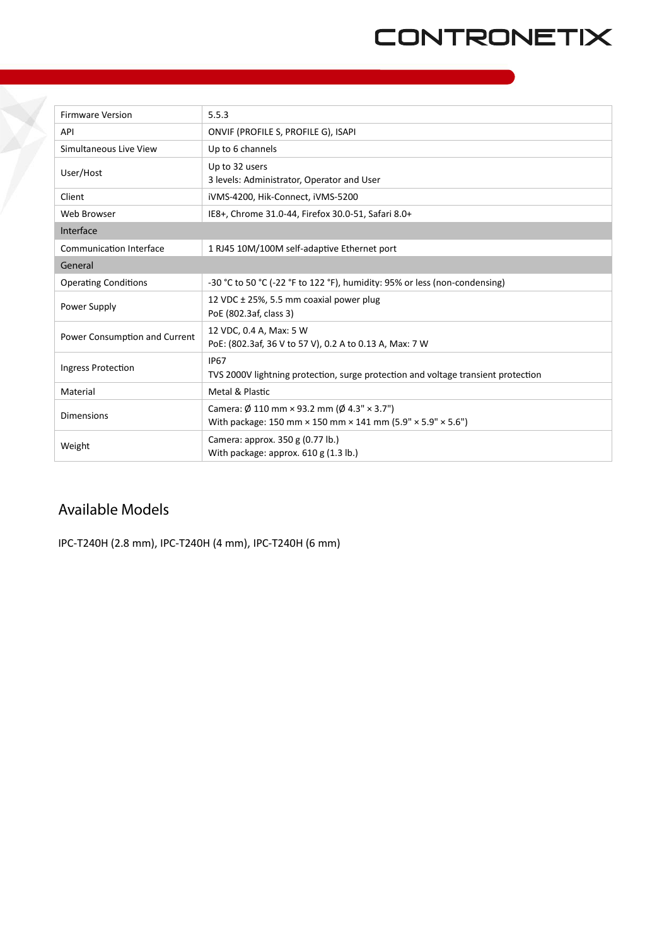## CONTRONETIX

| <b>Firmware Version</b>        | 5.5.3                                                                                                                              |  |
|--------------------------------|------------------------------------------------------------------------------------------------------------------------------------|--|
| API                            | ONVIF (PROFILE S, PROFILE G), ISAPI                                                                                                |  |
| Simultaneous Live View         | Up to 6 channels                                                                                                                   |  |
| User/Host                      | Up to 32 users<br>3 levels: Administrator, Operator and User                                                                       |  |
| Client                         | iVMS-4200, Hik-Connect, iVMS-5200                                                                                                  |  |
| Web Browser                    | IE8+, Chrome 31.0-44, Firefox 30.0-51, Safari 8.0+                                                                                 |  |
| Interface                      |                                                                                                                                    |  |
| <b>Communication Interface</b> | 1 RJ45 10M/100M self-adaptive Ethernet port                                                                                        |  |
| General                        |                                                                                                                                    |  |
| <b>Operating Conditions</b>    | -30 °C to 50 °C (-22 °F to 122 °F), humidity: 95% or less (non-condensing)                                                         |  |
| Power Supply                   | 12 VDC $\pm$ 25%, 5.5 mm coaxial power plug<br>PoE (802.3af, class 3)                                                              |  |
| Power Consumption and Current  | 12 VDC, 0.4 A, Max: 5 W<br>PoE: (802.3af, 36 V to 57 V), 0.2 A to 0.13 A, Max: 7 W                                                 |  |
| Ingress Protection             | <b>IP67</b><br>TVS 2000V lightning protection, surge protection and voltage transient protection                                   |  |
| Material                       | Metal & Plastic                                                                                                                    |  |
| <b>Dimensions</b>              | Camera: $\varnothing$ 110 mm × 93.2 mm ( $\varnothing$ 4.3" × 3.7")<br>With package: 150 mm × 150 mm × 141 mm (5.9" × 5.9" × 5.6") |  |
| Weight                         | Camera: approx. 350 g (0.77 lb.)<br>With package: approx. $610$ g (1.3 lb.)                                                        |  |

### **Available Models**

Y

IPC-T240H (2.8 mm), IPC-T240H (4 mm), IPC-T240H (6 mm)